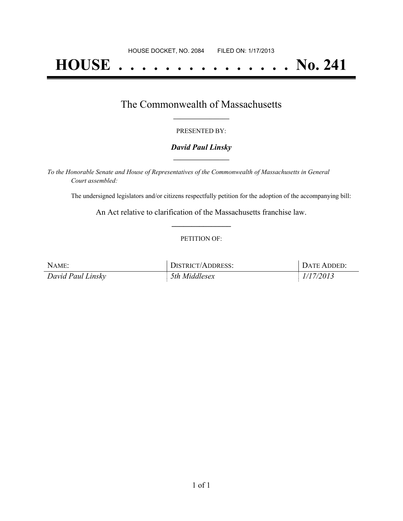# **HOUSE . . . . . . . . . . . . . . . No. 241**

### The Commonwealth of Massachusetts **\_\_\_\_\_\_\_\_\_\_\_\_\_\_\_\_\_**

#### PRESENTED BY:

#### *David Paul Linsky* **\_\_\_\_\_\_\_\_\_\_\_\_\_\_\_\_\_**

*To the Honorable Senate and House of Representatives of the Commonwealth of Massachusetts in General Court assembled:*

The undersigned legislators and/or citizens respectfully petition for the adoption of the accompanying bill:

An Act relative to clarification of the Massachusetts franchise law. **\_\_\_\_\_\_\_\_\_\_\_\_\_\_\_**

#### PETITION OF:

| NAME:             | <b>DISTRICT/ADDRESS:</b> | DATE ADDED: |
|-------------------|--------------------------|-------------|
| David Paul Linsky | 5th Middlesex            | 1/17/2013   |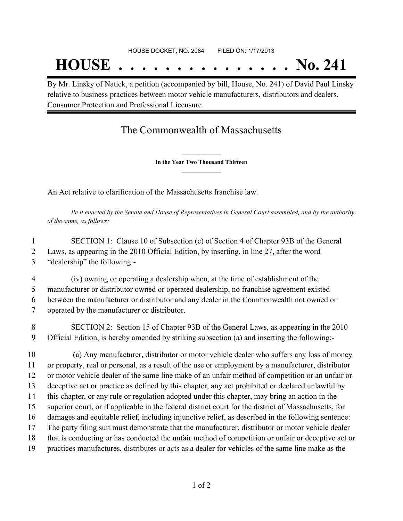By Mr. Linsky of Natick, a petition (accompanied by bill, House, No. 241) of David Paul Linsky relative to business practices between motor vehicle manufacturers, distributors and dealers. Consumer Protection and Professional Licensure.

## The Commonwealth of Massachusetts

**\_\_\_\_\_\_\_\_\_\_\_\_\_\_\_ In the Year Two Thousand Thirteen \_\_\_\_\_\_\_\_\_\_\_\_\_\_\_**

An Act relative to clarification of the Massachusetts franchise law.

Be it enacted by the Senate and House of Representatives in General Court assembled, and by the authority *of the same, as follows:*

 SECTION 1: Clause 10 of Subsection (c) of Section 4 of Chapter 93B of the General Laws, as appearing in the 2010 Official Edition, by inserting, in line 27, after the word "dealership" the following:-

 (iv) owning or operating a dealership when, at the time of establishment of the manufacturer or distributor owned or operated dealership, no franchise agreement existed between the manufacturer or distributor and any dealer in the Commonwealth not owned or operated by the manufacturer or distributor.

 SECTION 2: Section 15 of Chapter 93B of the General Laws, as appearing in the 2010 Official Edition, is hereby amended by striking subsection (a) and inserting the following:-

 (a) Any manufacturer, distributor or motor vehicle dealer who suffers any loss of money or property, real or personal, as a result of the use or employment by a manufacturer, distributor or motor vehicle dealer of the same line make of an unfair method of competition or an unfair or deceptive act or practice as defined by this chapter, any act prohibited or declared unlawful by this chapter, or any rule or regulation adopted under this chapter, may bring an action in the superior court, or if applicable in the federal district court for the district of Massachusetts, for damages and equitable relief, including injunctive relief, as described in the following sentence: The party filing suit must demonstrate that the manufacturer, distributor or motor vehicle dealer that is conducting or has conducted the unfair method of competition or unfair or deceptive act or practices manufactures, distributes or acts as a dealer for vehicles of the same line make as the